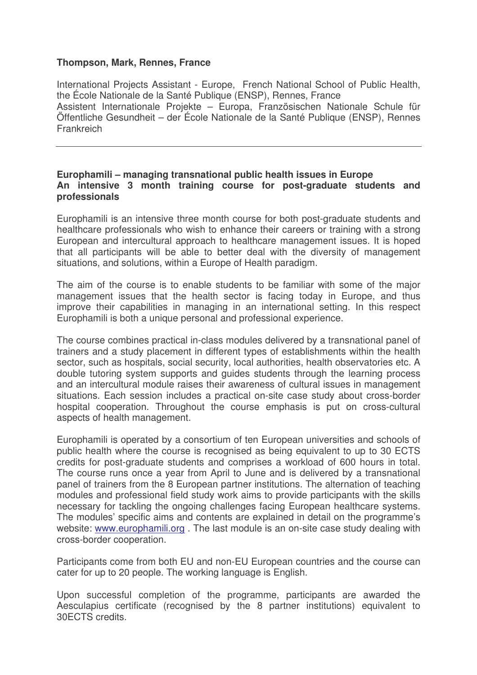## **Thompson, Mark, Rennes, France**

International Projects Assistant - Europe, French National School of Public Health, the École Nationale de la Santé Publique (ENSP), Rennes, France Assistent Internationale Projekte – Europa, Französischen Nationale Schule für Öffentliche Gesundheit – der École Nationale de la Santé Publique (ENSP), Rennes **Frankreich** 

## **Europhamili – managing transnational public health issues in Europe An intensive 3 month training course for post-graduate students and professionals**

Europhamili is an intensive three month course for both post-graduate students and healthcare professionals who wish to enhance their careers or training with a strong European and intercultural approach to healthcare management issues. It is hoped that all participants will be able to better deal with the diversity of management situations, and solutions, within a Europe of Health paradigm.

The aim of the course is to enable students to be familiar with some of the major management issues that the health sector is facing today in Europe, and thus improve their capabilities in managing in an international setting. In this respect Europhamili is both a unique personal and professional experience.

The course combines practical in-class modules delivered by a transnational panel of trainers and a study placement in different types of establishments within the health sector, such as hospitals, social security, local authorities, health observatories etc. A double tutoring system supports and guides students through the learning process and an intercultural module raises their awareness of cultural issues in management situations. Each session includes a practical on-site case study about cross-border hospital cooperation. Throughout the course emphasis is put on cross-cultural aspects of health management.

Europhamili is operated by a consortium of ten European universities and schools of public health where the course is recognised as being equivalent to up to 30 ECTS credits for post-graduate students and comprises a workload of 600 hours in total. The course runs once a year from April to June and is delivered by a transnational panel of trainers from the 8 European partner institutions. The alternation of teaching modules and professional field study work aims to provide participants with the skills necessary for tackling the ongoing challenges facing European healthcare systems. The modules' specific aims and contents are explained in detail on the programme's website: www.europhamili.org . The last module is an on-site case study dealing with cross-border cooperation.

Participants come from both EU and non-EU European countries and the course can cater for up to 20 people. The working language is English.

Upon successful completion of the programme, participants are awarded the Aesculapius certificate (recognised by the 8 partner institutions) equivalent to 30ECTS credits.